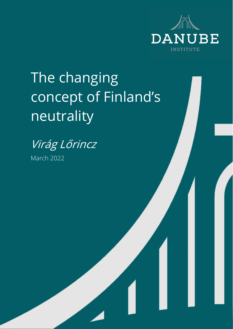

# The changing concept of Finland's neutrality



March 2022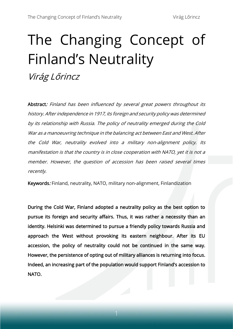# The Changing Concept of Finland's Neutrality

Virág Lőrincz

Abstract: Finland has been influenced by several great powers throughout its history. After independence in 1917, its foreign and security policy was determined by its relationship with Russia. The policy of neutrality emerged during the Cold War as a manoeuvring technique in the balancing act between East and West. After the Cold War, neutrality evolved into a military non-alignment policy. Its manifestation is that the country is in close cooperation with NATO, yet it is not a member. However, the question of accession has been raised several times recently.

Keywords: Finland, neutrality, NATO, military non-alignment, Finlandization

During the Cold War, Finland adopted a neutrality policy as the best option to pursue its foreign and security affairs. Thus, it was rather a necessity than an identity. Helsinki was determined to pursue a friendly policy towards Russia and approach the West without provoking its eastern neighbour. After its EU accession, the policy of neutrality could not be continued in the same way. However, the persistence of opting out of military alliances is returning into focus. Indeed, an increasing part of the population would support Finland's accession to NATO.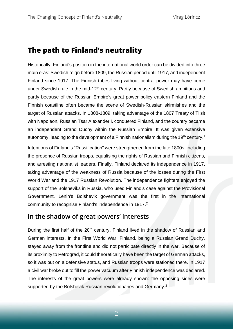## **The path to Finland's neutrality**

Historically, Finland's position in the international world order can be divided into three main eras: Swedish reign before 1809, the Russian period until 1917, and independent Finland since 1917. The Finnish tribes living without central power may have come under Swedish rule in the mid-12<sup>th</sup> century. Partly because of Swedish ambitions and partly because of the Russian Empire's great power policy eastern Finland and the Finnish coastline often became the scene of Swedish-Russian skirmishes and the target of Russian attacks. In 1808-1809, taking advantage of the 1807 Treaty of Tilsit with Napoleon, Russian Tsar Alexander I. conquered Finland, and the country became an independent Grand Duchy within the Russian Empire. It was given extensive autonomy, leading to the development of a Finnish nationalism during the 19<sup>th</sup> century.<sup>1</sup>

Intentions of Finland's "Russification" were strengthened from the late 1800s, including the presence of Russian troops, equalising the rights of Russian and Finnish citizens, and arresting nationalist leaders. Finally, Finland declared its independence in 1917, taking advantage of the weakness of Russia because of the losses during the First World War and the 1917 Russian Revolution. The independence fighters enjoyed the support of the Bolsheviks in Russia, who used Finland's case against the Provisional Government. Lenin's Bolshevik government was the first in the international community to recognise Finland's independence in 1917. 2

#### **In the shadow of great powers' interests**

During the first half of the 20<sup>th</sup> century, Finland lived in the shadow of Russian and German interests. In the First World War, Finland, being a Russian Grand Duchy, stayed away from the frontline and did not participate directly in the war. Because of its proximity to Petrograd, it could theoretically have been the target of German attacks, so it was put on a defensive status, and Russian troops were stationed there. In 1917 a civil war broke out to fill the power vacuum after Finnish independence was declared. The interests of the great powers were already shown: the opposing sides were supported by the Bolshevik Russian revolutionaries and Germany.<sup>3</sup>

2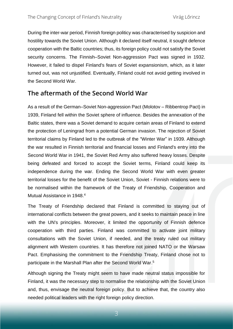During the inter-war period, Finnish foreign politicy was characterised by suspicion and hostility towards the Soviet Union. Although it declared itself neutral, it sought defence cooperation with the Baltic countries; thus, its foreign policy could not satisfy the Soviet security concerns. The Finnish–Soviet Non-aggression Pact was signed in 1932. However, it failed to dispel Finland's fears of Soviet expansionism, which, as it later turned out, was not unjustified. Eventually, Finland could not avoid getting involved in the Second World War.

#### **The aftermath of the Second World War**

As a result of the German–Soviet Non-aggression Pact (Molotov – Ribbentrop Pact) in 1939, Finland fell within the Soviet sphere of influence. Besides the annexation of the Baltic states, there was a Soviet demand to acquire certain areas of Finland to extend the protection of Leningrad from a potential German invasion. The rejection of Soviet territorial claims by Finland led to the outbreak of the "Winter War" in 1939. Although the war resulted in Finnish territorial and financial losses and Finland's entry into the Second World War in 1941, the Soviet Red Army also suffered heavy losses. Despite being defeated and forced to accept the Soviet terms, Finland could keep its independence during the war. Ending the Second World War with even greater territorial losses for the benefit of the Soviet Union, Soviet - Finnish relations were to be normalised within the framework of the Treaty of Friendship, Cooperation and Mutual Assistance in 1948.<sup>4</sup>

The Treaty of Friendship declared that Finland is committed to staying out of international conflicts between the great powers, and it seeks to maintain peace in line with the UN's principles. Moreover, it limited the opportunity of Finnish defence cooperation with third parties. Finland was committed to activate joint military consultations with the Soviet Union, if needed, and the treaty ruled out military alignment with Western countries. It has therefore not joined NATO or the Warsaw Pact. Emphasising the commitment to the Friendship Treaty, Finland chose not to participate in the Marshall Plan after the Second World War. 5

Although signing the Treaty might seem to have made neutral status impossible for Finland, it was the necessary step to normalise the relationship with the Soviet Union and, thus, envisage the neutral foreign policy. But to achieve that, the country also needed political leaders with the right foreign policy direction.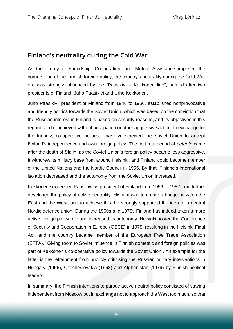#### **Finland's neutrality during the Cold War**

As the Treaty of Friendship, Cooperation, and Mutual Assistance imposed the cornerstone of the Finnish foreign policy, the country's neutrality during the Cold War era was strongly influenced by the "Paasikivi – Kekkonen line", named after two presidents of Finland, Juho Paasikivi and Urho Kekkonen.

Juho Paasikivi, president of Finland from 1946 to 1956, established nonprovocative and friendly politics towards the Soviet Union, which was based on the conviction that the Russian interest in Finland is based on security reasons, and its objectives in this regard can be achieved without occupation or other aggressive action. In exchange for the friendly, co-operative politics, Paasikivi expected the Soviet Union to accept Finland's independence and own foreign policy. The first real period of *détente* came after the death of Stalin, as the Soviet Union's foreign policy became less aggressive. It withdrew its military base from around Helsinki, and Finland could become member of the United Nations and the Nordic Council in 1955. By that, Finland's international isolation decreased and the autonomy from the Soviet Union increased.<sup>6</sup>

Kekkonen succeeded Paasikivi as president of Finland from 1956 to 1982, and further developed the policy of active neutrality. His aim was to create a bridge between the East and the West, and to achieve this, he strongly supported the idea of a neutral Nordic defence union. During the 1960s and 1970s Finland has indeed taken a more active foreign policy role and increased its autonomy. Helsinki hosted the Conference of Security and Cooperation in Europe (OSCE) in 1975, resulting in the Helsinki Final Act, and the country became member of the European Free Trade Association  $(EFTA).$ <sup>7</sup> Giving room to Soviet influence in Finnish domestic and foreign policies was part of Kekkonen's co-operative policy towards the Soviet Union . An example for the latter is the refrainment from publicly criticising the Russian military interventions in Hungary (1956), Czechoslovakia (1968) and Afghanistan (1979) by Finnish political leaders.

In summary, the Finnish intentions to pursue active neutral policy consisted of staying independent from Moscow but in exchange not to approach the West too much, so that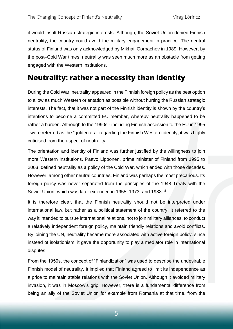it would insult Russian strategic interests. Although, the Soviet Union denied Finnish neutrality, the country could avoid the military engagement in practice. The neutral status of Finland was only acknowledged by Mikhail Gorbachev in 1989. However, by the post–Cold War times, neutrality was seen much more as an obstacle from getting engaged with the Western institutions.

# **Neutrality: rather a necessity than identity**

During the Cold War, neutrality appeared in the Finnish foreign policy as the best option to allow as much Western orientation as possible without hurting the Russian strategic interests. The fact, that it was not part of the Finnish identity is shown by the country's intentions to become a committed EU member, whereby neutrality happened to be rather a burden. Although to the 1990s - including Finnish accession to the EU in 1995 - were referred as the "golden era" regarding the Finnish Western identity, it was highly criticised from the aspect of neutrality.

The orientation and identity of Finland was further justified by the willingness to join more Western institutions. Paavo Lipponen, prime minister of Finland from 1995 to 2003, defined neutrality as a policy of the Cold War, which ended with those decades. However, among other neutral countries, Finland was perhaps the most precarious. Its foreign policy was never separated from the principles of the 1948 Treaty with the Soviet Union, which was later extended in 1955, 1973, and 1983. <sup>8</sup>

It is therefore clear, that the Finnish neutrality should not be interpreted under international law, but rather as a political statement of the country. It referred to the way it intended to pursue international relations, not to join military alliances, to conduct a relatively independent foreign policy, maintain friendly relations and avoid conflicts. By joining the UN, neutrality became more associated with active foreign policy, since instead of isolationism, it gave the opportunity to play a mediator role in international disputes.

From the 1950s, the concept of "Finlandization" was used to describe the undesirable Finnish model of neutrality. It implied that Finland agreed to limit its independence as a price to maintain stable relations with the Soviet Union. Although it avoided military invasion, it was in Moscow's grip. However, there is a fundamental difference from being an ally of the Soviet Union for example from Romania at that time, from the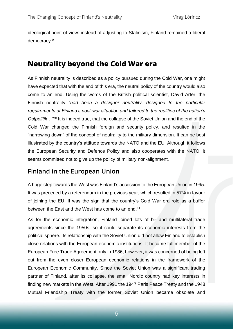ideological point of view: instead of adjusting to Stalinism, Finland remained a liberal democracy.<sup>9</sup>

### **Neutrality beyond the Cold War era**

As Finnish neutrality is described as a policy pursued during the Cold War, one might have expected that with the end of this era, the neutral policy of the country would also come to an end. Using the words of the British political scientist, David Arter, the Finnish neutrality "*had been a designer neutrality, designed to the particular requirements of Finland's post-war situation and tailored to the realities of the nation's Ostpolitik…"<sup>10</sup>* It is indeed true, that the collapse of the Soviet Union and the end of the Cold War changed the Finnish foreign and security policy, and resulted in the "narrowing down" of the concept of neutrality to the military dimension. It can be best illustrated by the country's attitude towards the NATO and the EU. Although it follows the European Security and Defence Policy and also cooperates with the NATO, it seems committed not to give up the policy of military non-alignment.

#### **Finland in the European Union**

A huge step towards the West was Finland's accession to the European Union in 1995. It was preceded by a referendum in the previous year, which resulted in 57% in favour of joining the EU. It was the sign that the country's Cold War era role as a buffer between the East and the West has come to an end.<sup>11</sup>

As for the economic integration, Finland joined lots of bi- and multilateral trade agreements since the 1950s, so it could separate its economic interests from the political sphere. Its relationship with the Soviet Union did not allow Finland to establish close relations with the European economic institutions. It became full member of the European Free Trade Agreement only in 1986, however, it was concerned of being left out from the even closer European economic relations in the framework of the European Economic Community. Since the Soviet Union was a significant trading partner of Finland, after its collapse, the small Nordic country had key interests in finding new markets in the West. After 1991 the 1947 Paris Peace Treaty and the 1948 Mutual Friendship Treaty with the former Soviet Union became obsolete and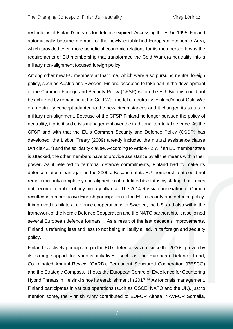restrictions of Finland's means for defence expired. Accessing the EU in 1995, Finland automatically became member of the newly established European Economic Area, which provided even more beneficial economic relations for its members.<sup>12</sup> It was the requirements of EU membership that transformed the Cold War era neutrality into a military non-alignment focused foreign policy.

Among other new EU members at that time, which were also pursuing neutral foreign policy, such as Austria and Sweden, Finland accepted to take part in the development of the Common Foreign and Security Policy (CFSP) within the EU. But this could not be achieved by remaining at the Cold War model of neutrality. Finland's post-Cold War era neutrality concept adapted to the new circumstances and it changed its status to military non-alignment. Because of the CFSP Finland no longer pursued the policy of neutrality, it prioritised crisis management over the traditional territorial defence. As the CFSP and with that the EU's Common Security and Defence Policy (CSDP) has developed, the Lisbon Treaty (2009) already included the mutual assistance clause (Article 42.7) and the solidarity clause. According to Article 42.7, if an EU member state is attacked, the other members have to provide assistance by all the means within their power. As it referred to territorial defence commitments, Finland had to make its defence status clear again in the 2000s. Because of its EU membership, it could not remain militarily completely non-aligned, so it redefined its status by stating that it does not become member of any military alliance. The 2014 Russian annexation of Crimea resulted in a more active Finnish participation in the EU's security and defence policy. It improved its bilateral defence cooperation with Sweden, the US, and also within the framework of the Nordic Defence Cooperation and the NATO partnership. It also joined several European defence formats.<sup>13</sup> As a result of the last decade's improvements, Finland is referring less and less to not being militarily allied, in its foreign and security policy.

Finland is actively participating in the EU's defence system since the 2000s, proven by its strong support for various initiatives, such as the European Defence Fund, Coordinated Annual Review (CARD), Permanent Structured Cooperation (PESCO) and the Strategic Compass. It hosts the European Centre of Excellence for Countering Hybrid Threats in Helsinki since its establishment in 2017.<sup>14</sup> As for crisis management, Finland participates in various operations (such as OSCE, NATO and the UN), just to mention some, the Finnish Army contributed to EUFOR Althea, NAVFOR Somalia,

7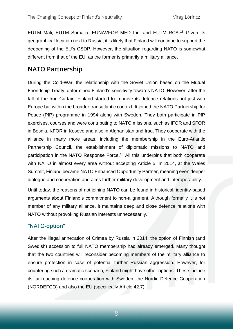EUTM Mali, EUTM Somalia, EUNAVFOR MED Irini and EUTM RCA. <sup>15</sup> Given its geographical location next to Russia, it is likely that Finland will continue to support the deepening of the EU's CSDP. However, the situation regarding NATO is somewhat different from that of the EU, as the former is primarily a military alliance.

#### **NATO Partnership**

During the Cold-War, the relationship with the Soviet Union based on the Mutual Friendship Treaty, determined Finland's sensitivity towards NATO. However, after the fall of the Iron Curtain, Finland started to improve its defence relations not just with Europe but within the broader transatlantic context. It joined the NATO Partnership for Peace (PfP) programme in 1994 along with Sweden. They both participate in PfP exercises, courses and were contributing to NATO missions, such as IFOR and SFOR in Bosnia, KFOR in Kosovo and also in Afghanistan and Iraq. They cooperate with the alliance in many more areas, including the membership in the Euro-Atlantic Partnership Council, the establishment of diplomatic missions to NATO and participation in the NATO Response Force. <sup>16</sup> All this underpins that both cooperate with NATO in almost every area without accepting Article 5. In 2014, at the Wales Summit, Finland became NATO Enhanced Opportunity Partner, meaning even deeper dialogue and cooperation and aims further military development and interoperability.

Until today, the reasons of not joining NATO can be found in historical, identity-based arguments about Finland's commitment to non-alignment. Although formally it is not member of any military alliance, it maintains deep and close defence relations with NATO without provoking Russian interests unnecessarily.

#### "NATO-option"

After the illegal annexation of Crimea by Russia in 2014, the option of Finnish (and Swedish) accession to full NATO membership had already emerged. Many thought that the two countries will reconsider becoming members of the military alliance to ensure protection in case of potential further Russian aggression. However, for countering such a dramatic scenario, Finland might have other options. These include its far-reaching defence cooperation with Sweden, the Nordic Defence Cooperation (NORDEFCO) and also the EU (specifically Article 42.7).

8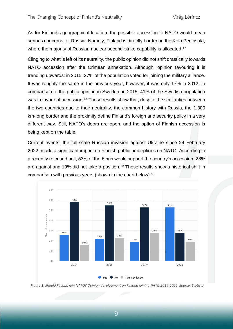As for Finland's geographical location, the possible accession to NATO would mean serious concerns for Russia. Namely, Finland is directly bordering the Kola Peninsula, where the majority of Russian nuclear second-strike capability is allocated.<sup>17</sup>

Clinging to what is left of its neutrality, the public opinion did not shift drastically towards NATO accession after the Crimean annexation. Although, opinion favouring it is trending upwards: in 2015, 27% of the population voted for joining the military alliance. It was roughly the same in the previous year, however, it was only 17% in 2012. In comparison to the public opinion in Sweden, in 2015, 41% of the Swedish population was in favour of accession.<sup>18</sup> These results show that, despite the similarities between the two countries due to their neutrality, the common history with Russia, the 1,300 km-long border and the proximity define Finland's foreign and security policy in a very different way. Still, NATO's doors are open, and the option of Finnish accession is being kept on the table.

Current events, the full-scale Russian invasion against Ukraine since 24 February 2022, made a significant impact on Finnish public perceptions on NATO. According to a recently released poll, 53% of the Finns would support the country's accession, 28% are against and 19% did not take a position.<sup>19</sup> These results show a historical shift in comparison with previous years (shown in the chart below) $20$ .



*Figure 1: Should Finland join NATO? Opinion development on Finland joining NATO 2014-2022. Source: Statista*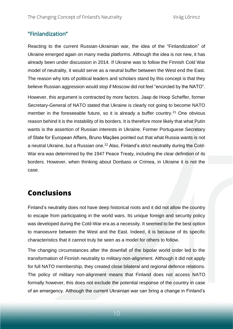#### "Finlandization"

Reacting to the current Russian-Ukrainian war, the idea of the "Finlandization" of Ukraine emerged again on many media platforms. Although the idea is not new, it has already been under discussion in 2014. If Ukraine was to follow the Finnish Cold War model of neutrality, it would serve as a neutral buffer between the West end the East. The reason why lots of political leaders and scholars stand by this concept is that they believe Russian aggression would stop if Moscow did not feel "encircled by the NATO".

However, this argument is contracted by more factors. Jaap de Hoop Scheffer, former Secretary-General of NATO stated that Ukraine is clearly not going to become NATO member in the foreseeable future, so it is already a buffer country.<sup>21</sup> One obvious reason behind it is the instability of its borders. It is therefore more likely that what Putin wants is the assertion of Russian interests in Ukraine. Former Portuguese Secretary of State for European Affairs, Bruno Maçães pointed out that what Russia wants is not a neutral Ukraine, but a Russian one.<sup>22</sup> Also, Finland's strict neutrality during the Cold-War era was determined by the 1947 Peace Treaty, including the clear definition of its borders. However, when thinking about Donbass or Crimea, in Ukraine it is not the case.

# **Conclusions**

Finland's neutrality does not have deep historical roots and it did not allow the country to escape from participating in the world wars. Its unique foreign and security policy was developed during the Cold-War era as a necessity. It seemed to be the best option to manoeuvre between the West and the East. Indeed, it is because of its specific characteristics that it cannot truly be seen as a model for others to follow.

The changing circumstances after the downfall of the bipolar world order led to the transformation of Finnish neutrality to military non-alignment. Although it did not apply for full NATO membership, they created close bilateral and regional defence relations. The policy of military non-alignment means that Finland does not access NATO formally however, this does not exclude the potential response of the country in case of an emergency. Although the current Ukrainian war can bring a change in Finland's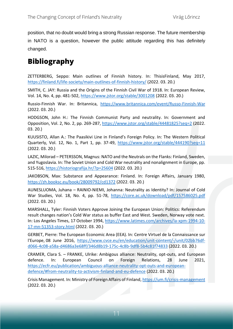position, that no doubt would bring a strong Russian response. The future membership in NATO is a question, however the public attitude regarding this has definitely changed.

# **Bibliography**

ZETTERBERG, Seppo: Main outlines of Finnish history. In: ThisisFinland, May 2017, <https://finland.fi/life-society/main-outlines-of-finnish-history/> (2022. 03. 20.)

SMITH, C. JAY: Russia and the Origins of the Finnish Civil War of 1918. In: European Review, Vol. 14, No. 4, pp. 481-502,<https://www.jstor.org/stable/3001208> (2022. 03. 20.)

Russio-Finnish War. In: Britannica, <https://www.britannica.com/event/Russo-Finnish-War> (2022. 03. 20.)

HODGSON, John H.: The Finnish Communist Party and neutrality. In: Government and Opposition, Vol. 2, No. 2, pp. 269-287[, https://www.jstor.org/stable/44481825?seq=2](https://www.jstor.org/stable/44481825?seq=2) (2022. 03. 20.)

KUUSISTO, Allan A.: The Paasikivi Line in Finland's Foreign Policy. In: The Western Political Quarterly, Vol. 12, No. 1, Part 1, pp. 37-49,<https://www.jstor.org/stable/444190?seq=11> (2022. 03. 20.)

LAZIC, Milorad – PETERSSON, Magnus: NATO and the Neutrals on the Flanks: Finland, Sweden, and Yugoslavia. In: The Soviet Union and Cold War neutrality and nonalignment in Europe, pp. 515-516,<https://historiografija.hr/?p=25604> (2022. 03. 20.)

JAKOBSON, Max: Substance and Appearance: Finland. In: Foreign Affairs, January 1980, <https://zh.booksc.eu/book/28009792/cd1372> (2022. 03. 20.)

AUNESLUOMA, Juhana – RAINIO-NIEMI, Johanna: Neutrality as Identity? In: Journal of Cold War Studies, Vol. 18, No. 4, pp. 51-78, <https://core.ac.uk/download/pdf/157586025.pdf> (2022. 03. 20.)

MARSHALL, Tyler: Finnish Voters Approve Joining the European Union: Politics: Referendum result changes nation's Cold War status as buffer East and West. Sweden, Norway vote next. In: Los Angeles Times, 17 October 1994, [https://www.latimes.com/archives/la-xpm-1994-10-](https://www.latimes.com/archives/la-xpm-1994-10-17-mn-51353-story.html) [17-mn-51353-story.html](https://www.latimes.com/archives/la-xpm-1994-10-17-mn-51353-story.html) (2022. 03. 20.)

GERBET, Pierre: The European Economic Area (EEA). In: Centre Virtuel de la Connaissance sur l'Europe, 08 June 2016, [https://www.cvce.eu/en/education/unit-content/-/unit/02bb76df](https://www.cvce.eu/en/education/unit-content/-/unit/02bb76df-d066-4c08-a58a-d4686a3e68ff/346d8b19-175c-4c8b-9df8-5b4c81f74833)[d066-4c08-a58a-d4686a3e68ff/346d8b19-175c-4c8b-9df8-5b4c81f74833](https://www.cvce.eu/en/education/unit-content/-/unit/02bb76df-d066-4c08-a58a-d4686a3e68ff/346d8b19-175c-4c8b-9df8-5b4c81f74833) (2022. 03. 20.)

CRAMER, Clara S. – FRANKE, Ulrike: Ambigous alliance: Neutrality, opt-outs, and European defence. In: European Council on Foreign Relations, 28 June 2021, [https://ecfr.eu/publication/ambiguous-alliance-neutrality-opt-outs-and-european](https://ecfr.eu/publication/ambiguous-alliance-neutrality-opt-outs-and-european-defence/#from-neutrality-to-activism-finland-and-eu-defence)[defence/#from-neutrality-to-activism-finland-and-eu-defence](https://ecfr.eu/publication/ambiguous-alliance-neutrality-opt-outs-and-european-defence/#from-neutrality-to-activism-finland-and-eu-defence) (2022. 03. 20.)

Crisis Management. In: Ministry of Foreign Affairs of Finland,<https://um.fi/crisis-management> (2022. 03. 20.)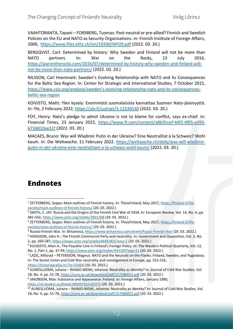VAAHTORANTA, Tapani – FORSBERG, Tuomas: Post-neutral or pre-allied? Finnish and Swedish Policies on the EU and NATO as Security Organisations. In: Finnish Institute of Foreign Affairs, 2000, <https://www.files.ethz.ch/isn/19260/WP29.pdf> (2022. 03. 20.)

BERGQVIST, Carl: Determined by history: Why Sweden and Finland will not be more than NATO partners. In: War on the Rocks, 13 July 2016, [https://warontherocks.com/2016/07/determined-by-history-why-sweden-and-finland-will](https://warontherocks.com/2016/07/determined-by-history-why-sweden-and-finland-will-not-be-more-than-nato-partners/)[not-be-more-than-nato-partners/](https://warontherocks.com/2016/07/determined-by-history-why-sweden-and-finland-will-not-be-more-than-nato-partners/) (2022. 03. 20.)

NILSSON, Carl Hvenmark: Sweden's Evolving Relationship with NATO and its Consequences for the Baltic Sea Region. In: Center for Strategic and International Studies, 7 October 2015, https://www.csis.org/analysis/sweden's[-evolving-relationship-nato-and-its-consequences](https://www.csis.org/analysis/sweden’s-evolving-relationship-nato-and-its-consequences-baltic-sea-region)[baltic-sea-region](https://www.csis.org/analysis/sweden’s-evolving-relationship-nato-and-its-consequences-baltic-sea-region)

KOIVISTO, Matti: Ylen kysely: Enemmistö suomalaisista kannattaa Suomen Nato-jäsenyyttä. In: Yle, 2 February 2022,<https://yle.fi/uutiset/3-12336530> (2022. 03. 20.)

FOY, Henry: Nato's pledge to admit Ukraine is not to blame for conflict, says ex-chief. In: Financial Times, 23 January 2022, [https://www.ft.com/content/a8b91cef-44f2-4f05-a393-](https://www.ft.com/content/a8b91cef-44f2-4f05-a393-673dd10ae31f) [673dd10ae31f](https://www.ft.com/content/a8b91cef-44f2-4f05-a393-673dd10ae31f) (2022. 03. 20.)

MACAES, Bruno: Was will Wladimir Putin in der Ukraine? Eine Neutralitat á la Schweiz? Wohl kaum. In: Die Weltwoche. 11 February 2022. [https://weltwoche.ch/daily/was-will-wladimir](https://weltwoche.ch/daily/was-will-wladimir-putin-in-der-ukraine-eine-neutralitaet-a-la-schweiz-wohl-kaum/)[putin-in-der-ukraine-eine-neutralitaet-a-la-schweiz-wohl-kaum/](https://weltwoche.ch/daily/was-will-wladimir-putin-in-der-ukraine-eine-neutralitaet-a-la-schweiz-wohl-kaum/) (2022. 03. 20.)

# **Endnotes**

<sup>1</sup> ZETTERBERG, Seppo: Main outlines of Finnish history. In: ThisisFinland, May 2017, [https://finland.fi/life](https://finland.fi/life-society/main-outlines-of-finnish-history/)[society/main-outlines-of-finnish-history/](https://finland.fi/life-society/main-outlines-of-finnish-history/) (20. 03. 2022.)

<sup>&</sup>lt;sup>2</sup> SMITH, C. JAY: Russia and the Origins of the Finnish Civil War of 1918. In: European Review, Vol. 14, No. 4, pp. 481-502, <https://www.jstor.org/stable/3001208> (20. 03. 2022.)

<sup>3</sup> ZETTERBERG, Seppo: Main outlines of Finnish history. In: ThisisFinland, May 2017, [https://finland.fi/life](https://finland.fi/life-society/main-outlines-of-finnish-history/)[society/main-outlines-of-finnish-history/](https://finland.fi/life-society/main-outlines-of-finnish-history/) (20. 03. 2022.)

<sup>4</sup> Russio-Finnish War. In: Britannica, <https://www.britannica.com/event/Russo-Finnish-War> (20. 03. 2022.)

<sup>5</sup> HODGSON, John H.: The Finnish Communist Party and neutrality. In: Government and Opposition, Vol. 2, No. 2, pp. 269-287, <https://www.jstor.org/stable/44481825?seq=2> (20. 03. 2022.)

<sup>6</sup> KUUSISTO, Allan A.: The Paasikivi Line in Finland's Foreign Policy. In: The Western Political Quarterly, Vol. 12, No. 1, Part 1, pp. 37-49[, https://www.jstor.org/stable/444190?seq=11](https://www.jstor.org/stable/444190?seq=11) (20. 03. 2022.)

 $^7$  LAZIC, Milorad – PETERSSON, Magnus: NATO and the Neutrals on the Flanks: Finland, Sweden, and Yugoslavia. In: The Soviet Union and Cold War neutrality and nonalignment in Europe, pp. 515-516, <https://historiografija.hr/?p=25604> (20. 03. 2022.)

<sup>8</sup> AUNESLUOMA, Juhana – RAINIO-NIEMI, Johanna: Neutrality as Identity? In: Journal of Cold War Studies, Vol. 18, No. 4, pp. 51-78, <https://core.ac.uk/download/pdf/157586025.pdf> (20. 03. 2022.)

<sup>&</sup>lt;sup>9</sup> JAKOBSON, Max: Substance and Appearance: Finland. In: Foreign Affairs, January 1980, <https://zh.booksc.eu/book/28009792/cd1372> (20. 03. 2022.)

<sup>10</sup> AUNESLUOMA, Juhana – RAINIO-NIEMI, Johanna: Neutrality as Identity? In: Journal of Cold War Studies, Vol. 18, No. 4, pp. 51-78, <https://core.ac.uk/download/pdf/157586025.pdf> (20. 03. 2022.)